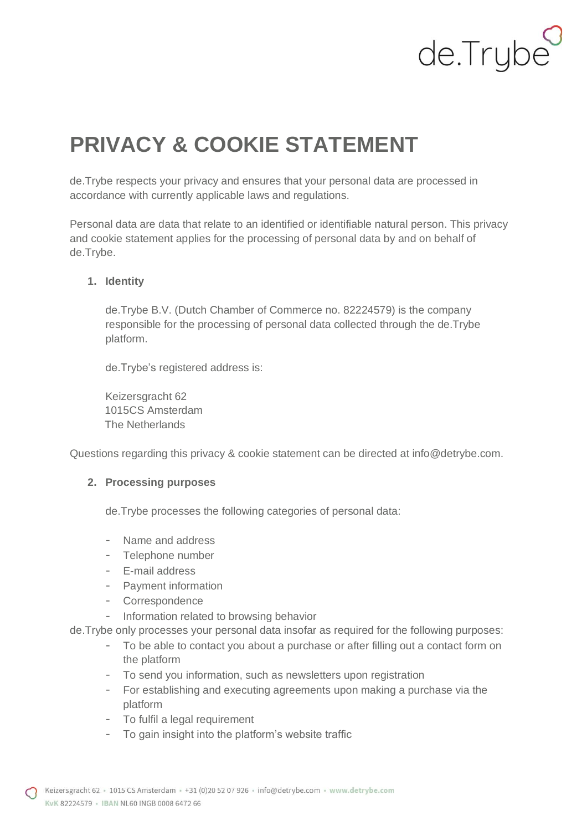# de.Trybe

# **PRIVACY & COOKIE STATEMENT**

de.Trybe respects your privacy and ensures that your personal data are processed in accordance with currently applicable laws and regulations.

Personal data are data that relate to an identified or identifiable natural person. This privacy and cookie statement applies for the processing of personal data by and on behalf of de.Trybe.

# **1. Identity**

de.Trybe B.V. (Dutch Chamber of Commerce no. 82224579) is the company responsible for the processing of personal data collected through the de.Trybe platform.

de.Trybe's registered address is:

Keizersgracht 62 1015CS Amsterdam The Netherlands

Questions regarding this privacy & cookie statement can be directed at info@detrybe.com.

## **2. Processing purposes**

de.Trybe processes the following categories of personal data:

- Name and address
- Telephone number
- E-mail address
- Payment information
- Correspondence
- Information related to browsing behavior

de.Trybe only processes your personal data insofar as required for the following purposes:

- To be able to contact you about a purchase or after filling out a contact form on the platform
- To send you information, such as newsletters upon registration
- For establishing and executing agreements upon making a purchase via the platform
- To fulfil a legal requirement
- To gain insight into the platform's website traffic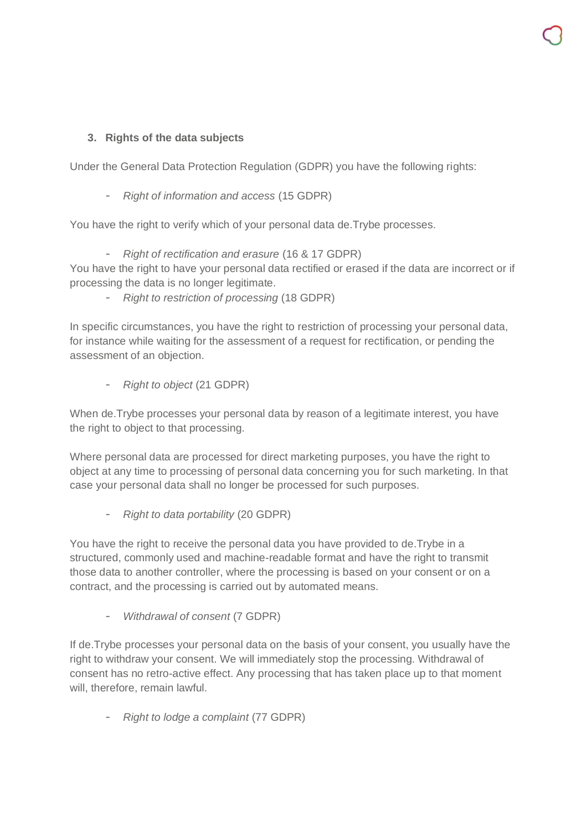# **3. Rights of the data subjects**

Under the General Data Protection Regulation (GDPR) you have the following rights:

- *Right of information and access* (15 GDPR)

You have the right to verify which of your personal data de.Trybe processes.

- *Right of rectification and erasure* (16 & 17 GDPR)

You have the right to have your personal data rectified or erased if the data are incorrect or if processing the data is no longer legitimate.

- *Right to restriction of processing* (18 GDPR)

In specific circumstances, you have the right to restriction of processing your personal data, for instance while waiting for the assessment of a request for rectification, or pending the assessment of an objection.

- *Right to object* (21 GDPR)

When de.Trybe processes your personal data by reason of a legitimate interest, you have the right to object to that processing.

Where personal data are processed for direct marketing purposes, you have the right to object at any time to processing of personal data concerning you for such marketing. In that case your personal data shall no longer be processed for such purposes.

- *Right to data portability* (20 GDPR)

You have the right to receive the personal data you have provided to de.Trybe in a structured, commonly used and machine-readable format and have the right to transmit those data to another controller, where the processing is based on your consent or on a contract, and the processing is carried out by automated means.

- *Withdrawal of consent* (7 GDPR)

If de.Trybe processes your personal data on the basis of your consent, you usually have the right to withdraw your consent. We will immediately stop the processing. Withdrawal of consent has no retro-active effect. Any processing that has taken place up to that moment will, therefore, remain lawful.

- *Right to lodge a complaint* (77 GDPR)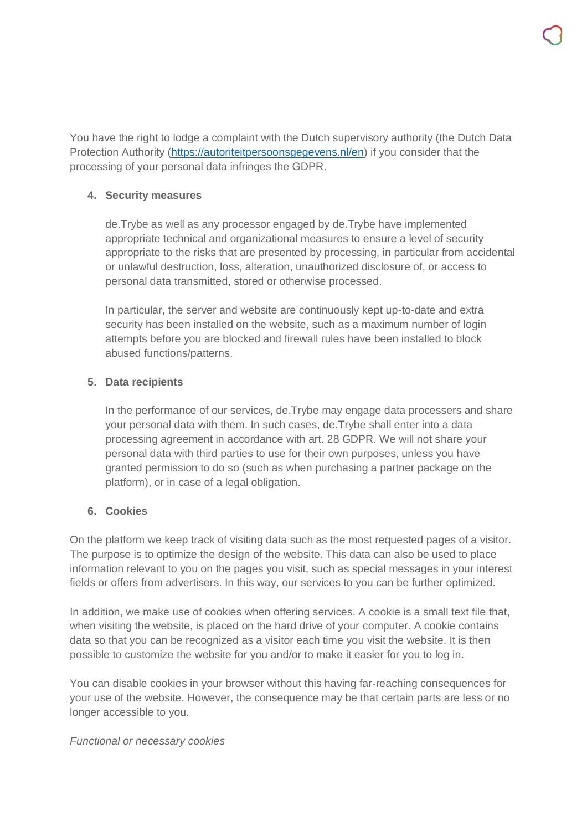You have the right to lodge a complaint with the Dutch supervisory authority (the Dutch Data Protection Authority [\(https://autoriteitpersoonsgegevens.nl/en\)](https://autoriteitpersoonsgegevens.nl/en) if you consider that the processing of your personal data infringes the GDPR.

# **4. Security measures**

de.Trybe as well as any processor engaged by de.Trybe have implemented appropriate technical and organizational measures to ensure a level of security appropriate to the risks that are presented by processing, in particular from accidental or unlawful destruction, loss, alteration, unauthorized disclosure of, or access to personal data transmitted, stored or otherwise processed.

In particular, the server and website are continuously kept up-to-date and extra security has been installed on the website, such as a maximum number of login attempts before you are blocked and firewall rules have been installed to block abused functions/patterns.

# **5. Data recipients**

In the performance of our services, de.Trybe may engage data processers and share your personal data with them. In such cases, de.Trybe shall enter into a data processing agreement in accordance with art. 28 GDPR. We will not share your personal data with third parties to use for their own purposes, unless you have granted permission to do so (such as when purchasing a partner package on the platform), or in case of a legal obligation.

# **6. Cookies**

On the platform we keep track of visiting data such as the most requested pages of a visitor. The purpose is to optimize the design of the website. This data can also be used to place information relevant to you on the pages you visit, such as special messages in your interest fields or offers from advertisers. In this way, our services to you can be further optimized.

In addition, we make use of cookies when offering services. A cookie is a small text file that, when visiting the website, is placed on the hard drive of your computer. A cookie contains data so that you can be recognized as a visitor each time you visit the website. It is then possible to customize the website for you and/or to make it easier for you to log in.

You can disable cookies in your browser without this having far-reaching consequences for your use of the website. However, the consequence may be that certain parts are less or no longer accessible to you.

## *Functional or necessary cookies*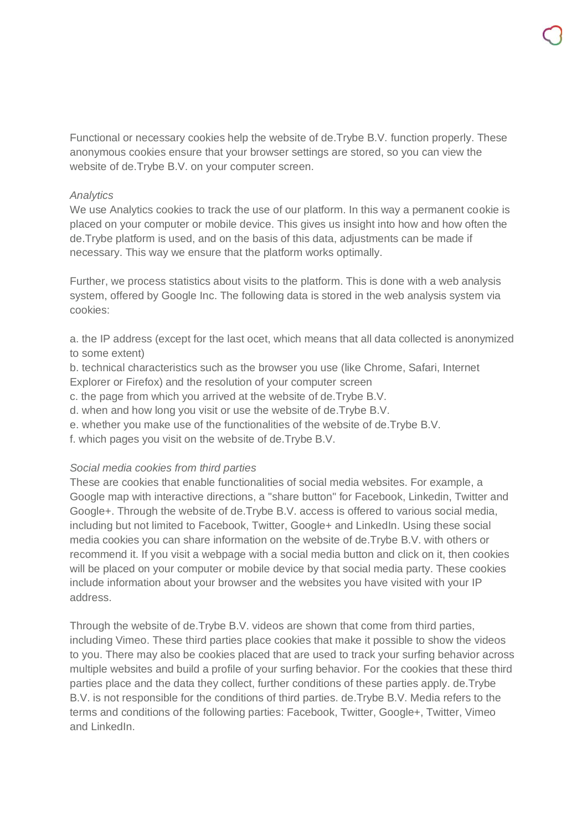Functional or necessary cookies help the website of de.Trybe B.V. function properly. These anonymous cookies ensure that your browser settings are stored, so you can view the website of de.Trybe B.V. on your computer screen.

#### *Analytics*

We use Analytics cookies to track the use of our platform. In this way a permanent cookie is placed on your computer or mobile device. This gives us insight into how and how often the de.Trybe platform is used, and on the basis of this data, adjustments can be made if necessary. This way we ensure that the platform works optimally.

Further, we process statistics about visits to the platform. This is done with a web analysis system, offered by Google Inc. The following data is stored in the web analysis system via cookies:

a. the IP address (except for the last ocet, which means that all data collected is anonymized to some extent)

b. technical characteristics such as the browser you use (like Chrome, Safari, Internet Explorer or Firefox) and the resolution of your computer screen

c. the page from which you arrived at the website of de.Trybe B.V.

d. when and how long you visit or use the website of de.Trybe B.V.

e. whether you make use of the functionalities of the website of de.Trybe B.V.

f. which pages you visit on the website of de.Trybe B.V.

## *Social media cookies from third parties*

These are cookies that enable functionalities of social media websites. For example, a Google map with interactive directions, a "share button" for Facebook, Linkedin, Twitter and Google+. Through the website of de.Trybe B.V. access is offered to various social media, including but not limited to Facebook, Twitter, Google+ and LinkedIn. Using these social media cookies you can share information on the website of de.Trybe B.V. with others or recommend it. If you visit a webpage with a social media button and click on it, then cookies will be placed on your computer or mobile device by that social media party. These cookies include information about your browser and the websites you have visited with your IP address.

Through the website of de.Trybe B.V. videos are shown that come from third parties, including Vimeo. These third parties place cookies that make it possible to show the videos to you. There may also be cookies placed that are used to track your surfing behavior across multiple websites and build a profile of your surfing behavior. For the cookies that these third parties place and the data they collect, further conditions of these parties apply. de.Trybe B.V. is not responsible for the conditions of third parties. de.Trybe B.V. Media refers to the terms and conditions of the following parties: Facebook, Twitter, Google+, Twitter, Vimeo and LinkedIn.